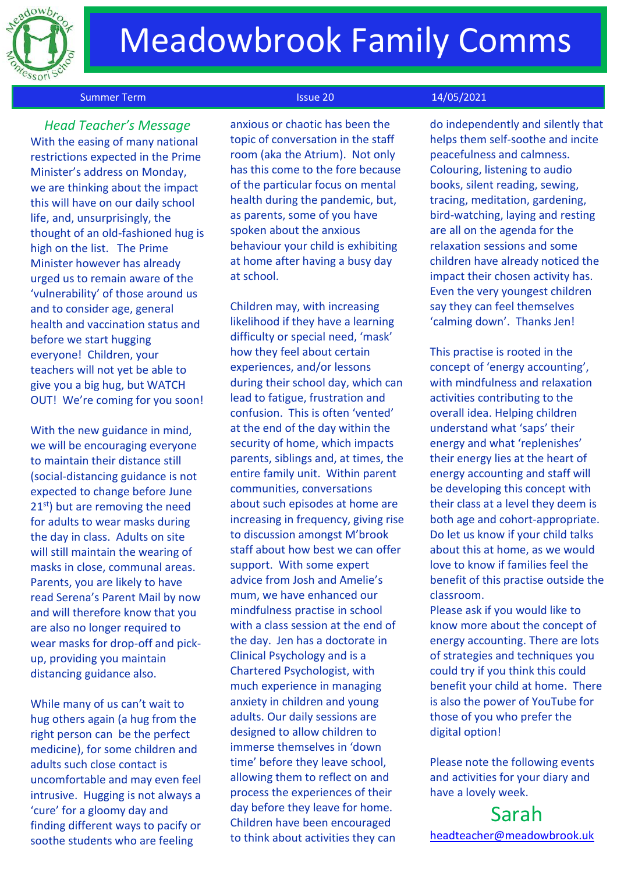

# **Meadowbrook Family Comms**

#### Summer Term **Issue 20** 14/05/2021

 *Head Teacher's Message* With the easing of many national restrictions expected in the Prime Minister's address on Monday, we are thinking about the impact this will have on our daily school life, and, unsurprisingly, the thought of an old-fashioned hug is high on the list. The Prime Minister however has already urged us to remain aware of the 'vulnerability' of those around us and to consider age, general health and vaccination status and before we start hugging everyone! Children, your teachers will not yet be able to give you a big hug, but WATCH OUT! We're coming for you soon!

With the new guidance in mind, we will be encouraging everyone to maintain their distance still (social-distancing guidance is not expected to change before June 21<sup>st</sup>) but are removing the need for adults to wear masks during the day in class. Adults on site will still maintain the wearing of masks in close, communal areas. Parents, you are likely to have read Serena's Parent Mail by now and will therefore know that you are also no longer required to wear masks for drop-off and pickup, providing you maintain distancing guidance also.

While many of us can't wait to hug others again (a hug from the right person can be the perfect medicine), for some children and adults such close contact is uncomfortable and may even feel intrusive. Hugging is not always a 'cure' for a gloomy day and finding different ways to pacify or soothe students who are feeling

anxious or chaotic has been the topic of conversation in the staff room (aka the Atrium). Not only has this come to the fore because of the particular focus on mental health during the pandemic, but, as parents, some of you have spoken about the anxious behaviour your child is exhibiting at home after having a busy day at school.

Children may, with increasing likelihood if they have a learning difficulty or special need, 'mask' how they feel about certain experiences, and/or lessons during their school day, which can lead to fatigue, frustration and confusion. This is often 'vented' at the end of the day within the security of home, which impacts parents, siblings and, at times, the entire family unit. Within parent communities, conversations about such episodes at home are increasing in frequency, giving rise to discussion amongst M'brook staff about how best we can offer support. With some expert advice from Josh and Amelie's mum, we have enhanced our mindfulness practise in school with a class session at the end of the day. Jen has a doctorate in Clinical Psychology and is a Chartered Psychologist, with much experience in managing anxiety in children and young adults. Our daily sessions are designed to allow children to immerse themselves in 'down time' before they leave school, allowing them to reflect on and process the experiences of their day before they leave for home. Children have been encouraged to think about activities they can

do independently and silently that helps them self-soothe and incite peacefulness and calmness. Colouring, listening to audio books, silent reading, sewing, tracing, meditation, gardening, bird-watching, laying and resting are all on the agenda for the relaxation sessions and some children have already noticed the impact their chosen activity has. Even the very youngest children say they can feel themselves 'calming down'. Thanks Jen!

This practise is rooted in the concept of 'energy accounting', with mindfulness and relaxation activities contributing to the overall idea. Helping children understand what 'saps' their energy and what 'replenishes' their energy lies at the heart of energy accounting and staff will be developing this concept with their class at a level they deem is both age and cohort-appropriate. Do let us know if your child talks about this at home, as we would love to know if families feel the benefit of this practise outside the classroom.

Please ask if you would like to know more about the concept of energy accounting. There are lots of strategies and techniques you could try if you think this could benefit your child at home. There is also the power of YouTube for those of you who prefer the digital option!

Please note the following events and activities for your diary and have a lovely week.